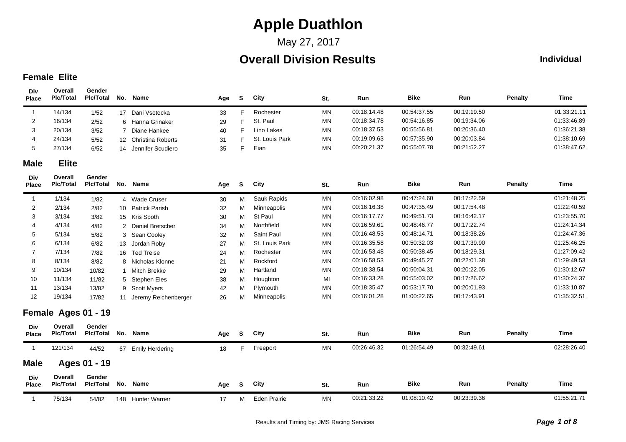## May 27, 2017

## **Overall Division Results**

#### **Individual**

### **Female Elite**

**Div**

| Div<br><b>Place</b> | Overall<br><b>Plc/Total</b> | Gender<br><b>Plc/Total</b> | No.             | <b>Name</b>              | Age | S        | City                | St.       | Run         | <b>Bike</b> | Run         | <b>Penalty</b> | <b>Time</b> |
|---------------------|-----------------------------|----------------------------|-----------------|--------------------------|-----|----------|---------------------|-----------|-------------|-------------|-------------|----------------|-------------|
| $\overline{1}$      | 14/134                      | 1/52                       |                 | 17 Dani Vsetecka         | 33  | F.       | Rochester           | <b>MN</b> | 00:18:14.48 | 00:54:37.55 | 00:19:19.50 |                | 01:33:21.11 |
| 2                   | 16/134                      | 2/52                       | 6               | Hanna Grinaker           | 29  | F        | St. Paul            | <b>MN</b> | 00:18:34.78 | 00:54:16.85 | 00:19:34.06 |                | 01:33:46.89 |
| 3                   | 20/134                      | 3/52                       | $\overline{7}$  | Diane Hankee             | 40  | F        | Lino Lakes          | <b>MN</b> | 00:18:37.53 | 00:55:56.81 | 00:20:36.40 |                | 01:36:21.38 |
| 4                   | 24/134                      | 5/52                       | 12 <sup>2</sup> | <b>Christina Roberts</b> | 31  | F        | St. Louis Park      | MN        | 00:19:09.63 | 00:57:35.90 | 00:20:03.84 |                | 01:38:10.69 |
| 5                   | 27/134                      | 6/52                       | 14              | Jennifer Scudiero        | 35  | F        | Eian                | MN        | 00:20:21.37 | 00:55:07.78 | 00:21:52.27 |                | 01:38:47.62 |
| <b>Male</b>         | <b>Elite</b>                |                            |                 |                          |     |          |                     |           |             |             |             |                |             |
| Div<br>Place        | Overall<br><b>PIc/Total</b> | Gender<br><b>PIc/Total</b> | No.             | <b>Name</b>              | Age | S        | City                | St.       | Run         | <b>Bike</b> | Run         | <b>Penalty</b> | <b>Time</b> |
| $\overline{1}$      | 1/134                       | 1/82                       |                 | 4 Wade Cruser            | 30  | M        | Sauk Rapids         | <b>MN</b> | 00:16:02.98 | 00:47:24.60 | 00:17:22.59 |                | 01:21:48.25 |
| $\overline{2}$      | 2/134                       | 2/82                       | 10 <sup>°</sup> | <b>Patrick Parish</b>    | 32  | M        | Minneapolis         | <b>MN</b> | 00:16:16.38 | 00:47:35.49 | 00:17:54.48 |                | 01:22:40.59 |
| 3                   | 3/134                       | 3/82                       |                 | 15 Kris Spoth            | 30  | M        | St Paul             | MN        | 00:16:17.77 | 00:49:51.73 | 00:16:42.17 |                | 01:23:55.70 |
| 4                   | 4/134                       | 4/82                       | $\overline{2}$  | Daniel Bretscher         | 34  | M        | Northfield          | MN        | 00:16:59.61 | 00:48:46.77 | 00:17:22.74 |                | 01:24:14.34 |
| 5                   | 5/134                       | 5/82                       | 3               | Sean Cooley              | 32  | M        | Saint Paul          | MN        | 00:16:48.53 | 00:48:14.71 | 00:18:38.26 |                | 01:24:47.36 |
| 6                   | 6/134                       | 6/82                       | 13              | Jordan Roby              | 27  | M        | St. Louis Park      | MN        | 00:16:35.58 | 00:50:32.03 | 00:17:39.90 |                | 01:25:46.25 |
| 7                   | 7/134                       | 7/82                       | 16              | <b>Ted Treise</b>        | 24  | M        | Rochester           | <b>MN</b> | 00:16:53.48 | 00:50:38.45 | 00:18:29.31 |                | 01:27:09.42 |
| 8                   | 8/134                       | 8/82                       | 8               | Nicholas Klonne          | 21  | M        | Rockford            | <b>MN</b> | 00:16:58.53 | 00:49:45.27 | 00:22:01.38 |                | 01:29:49.53 |
| 9                   | 10/134                      | 10/82                      | $\mathbf{1}$    | Mitch Brekke             | 29  | M        | Hartland            | <b>MN</b> | 00:18:38.54 | 00:50:04.31 | 00:20:22.05 |                | 01:30:12.67 |
| 10                  | 11/134                      | 11/82                      | 5               | <b>Stephen Eles</b>      | 38  | м        | Houghton            | MI        | 00:16:33.28 | 00:55:03.02 | 00:17:26.62 |                | 01:30:24.37 |
| 11                  | 13/134                      | 13/82                      | 9               | <b>Scott Myers</b>       | 42  | M        | Plymouth            | <b>MN</b> | 00:18:35.47 | 00:53:17.70 | 00:20:01.93 |                | 01:33:10.87 |
| 12                  | 19/134                      | 17/82                      |                 | 11 Jeremy Reichenberger  | 26  | M        | Minneapolis         | MN        | 00:16:01.28 | 01:00:22.65 | 00:17:43.91 |                | 01:35:32.51 |
|                     | Female Ages 01 - 19         |                            |                 |                          |     |          |                     |           |             |             |             |                |             |
| Div<br><b>Place</b> | Overall<br><b>PIc/Total</b> | Gender<br><b>PIc/Total</b> | No.             | Name                     | Age | S        | City                | St.       | Run         | <b>Bike</b> | Run         | <b>Penalty</b> | <b>Time</b> |
| $\overline{1}$      | 121/134                     | 44/52                      |                 | 67 Emily Herdering       | 18  | F.       | Freeport            | MN        | 00:26:46.32 | 01:26:54.49 | 00:32:49.61 |                | 02:28:26.40 |
| <b>Male</b>         |                             | Ages 01 - 19               |                 |                          |     |          |                     |           |             |             |             |                |             |
| Div<br><b>Place</b> | Overall<br><b>Plc/Total</b> | Gender<br><b>Plc/Total</b> | No.             | <b>Name</b>              | Age | <b>S</b> | City                | St.       | Run         | <b>Bike</b> | Run         | <b>Penalty</b> | <b>Time</b> |
| $\overline{1}$      | 75/134                      | 54/82                      |                 | 148 Hunter Warner        | 17  | M        | <b>Eden Prairie</b> | <b>MN</b> | 00:21:33.22 | 01:08:10.42 | 00:23:39.36 |                | 01:55:21.71 |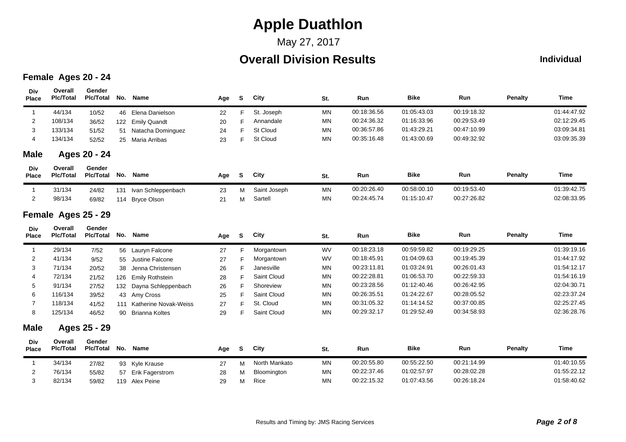## May 27, 2017

## **Overall Division Results**

#### **Individual**

### **Female Ages 20 - 24**

| Div<br>Place        | Overall<br><b>Plc/Total</b> | Gender<br><b>Plc/Total</b> | No. | Name                   | Age | S        | City          | St.       | Run         | <b>Bike</b> | Run         | <b>Penalty</b> | <b>Time</b> |
|---------------------|-----------------------------|----------------------------|-----|------------------------|-----|----------|---------------|-----------|-------------|-------------|-------------|----------------|-------------|
| $\mathbf{1}$        | 44/134                      | 10/52                      | 46  | Elena Danielson        | 22  | F        | St. Joseph    | <b>MN</b> | 00:18:36.56 | 01:05:43.03 | 00:19:18.32 |                | 01:44:47.92 |
| 2                   | 108/134                     | 36/52                      | 122 | <b>Emily Quandt</b>    | 20  | F        | Annandale     | <b>MN</b> | 00:24:36.32 | 01:16:33.96 | 00:29:53.49 |                | 02:12:29.45 |
| 3                   | 133/134                     | 51/52                      | 51  | Natacha Dominguez      | 24  | F        | St Cloud      | MN        | 00:36:57.86 | 01:43:29.21 | 00:47:10.99 |                | 03:09:34.81 |
| 4                   | 134/134                     | 52/52                      | 25  | Maria Arribas          | 23  | F        | St Cloud      | MN        | 00:35:16.48 | 01:43:00.69 | 00:49:32.92 |                | 03:09:35.39 |
| <b>Male</b>         |                             | Ages 20 - 24               |     |                        |     |          |               |           |             |             |             |                |             |
| Div<br>Place        | Overall<br><b>Plc/Total</b> | Gender<br><b>Pic/Total</b> | No. | <b>Name</b>            | Age | S        | City          | St.       | Run         | <b>Bike</b> | Run         | <b>Penalty</b> | <b>Time</b> |
| $\mathbf{1}$        | 31/134                      | 24/82                      | 131 | Ivan Schleppenbach     | 23  | м        | Saint Joseph  | <b>MN</b> | 00:20:26.40 | 00:58:00.10 | 00:19:53.40 |                | 01:39:42.75 |
| 2                   | 98/134                      | 69/82                      | 114 | <b>Bryce Olson</b>     | 21  | м        | Sartell       | <b>MN</b> | 00:24:45.74 | 01:15:10.47 | 00:27:26.82 |                | 02:08:33.95 |
|                     | Female Ages 25 - 29         |                            |     |                        |     |          |               |           |             |             |             |                |             |
| Div<br><b>Place</b> | Overall<br><b>Plc/Total</b> | Gender<br><b>Plc/Total</b> | No. | Name                   | Age | <b>S</b> | City          | St.       | Run         | <b>Bike</b> | Run         | <b>Penalty</b> | <b>Time</b> |
| $\mathbf{1}$        | 29/134                      | 7/52                       |     | 56 Lauryn Falcone      | 27  | F        | Morgantown    | <b>WV</b> | 00:18:23.18 | 00:59:59.82 | 00:19:29.25 |                | 01:39:19.16 |
| $\overline{c}$      | 41/134                      | 9/52                       | 55  | Justine Falcone        | 27  | F        | Morgantown    | WV        | 00:18:45.91 | 01:04:09.63 | 00:19:45.39 |                | 01:44:17.92 |
| 3                   | 71/134                      | 20/52                      | 38  | Jenna Christensen      | 26  |          | Janesville    | <b>MN</b> | 00:23:11.81 | 01:03:24.91 | 00:26:01.43 |                | 01:54:12.17 |
| 4                   | 72/134                      | 21/52                      | 126 | Emily Rothstein        | 28  |          | Saint Cloud   | <b>MN</b> | 00:22:28.81 | 01:06:53.70 | 00:22:59.33 |                | 01:54:16.19 |
| 5                   | 91/134                      | 27/52                      | 132 | Dayna Schleppenbach    | 26  |          | Shoreview     | <b>MN</b> | 00:23:28.56 | 01:12:40.46 | 00:26:42.95 |                | 02:04:30.71 |
| 6                   | 116/134                     | 39/52                      | 43  | Amy Cross              | 25  |          | Saint Cloud   | MN        | 00:26:35.51 | 01:24:22.67 | 00:28:05.52 |                | 02:23:37.24 |
| 7                   | 118/134                     | 41/52                      | 111 | Katherine Novak-Weiss  | 27  | F        | St. Cloud     | <b>MN</b> | 00:31:05.32 | 01:14:14.52 | 00:37:00.85 |                | 02:25:27.45 |
| 8                   | 125/134                     | 46/52                      | 90  | <b>Brianna Koltes</b>  | 29  | F        | Saint Cloud   | <b>MN</b> | 00:29:32.17 | 01:29:52.49 | 00:34:58.93 |                | 02:36:28.76 |
| <b>Male</b>         |                             | Ages 25 - 29               |     |                        |     |          |               |           |             |             |             |                |             |
| Div<br>Place        | Overall<br><b>Plc/Total</b> | Gender<br><b>Plc/Total</b> | No. | Name                   | Age | <b>S</b> | City          | St.       | Run         | <b>Bike</b> | Run         | <b>Penalty</b> | Time        |
| $\mathbf{1}$        | 34/134                      | 27/82                      | 93  | Kyle Krause            | 27  | м        | North Mankato | MN        | 00:20:55.80 | 00:55:22.50 | 00:21:14.99 |                | 01:40:10.55 |
| $\overline{c}$      | 76/134                      | 55/82                      | 57  | <b>Erik Fagerstrom</b> | 28  | M        | Bloomington   | <b>MN</b> | 00:22:37.46 | 01:02:57.97 | 00:28:02.28 |                | 01:55:22.12 |
| 3                   | 82/134                      | 59/82                      |     | 119 Alex Peine         | 29  | М        | Rice          | <b>MN</b> | 00:22:15.32 | 01:07:43.56 | 00:26:18.24 |                | 01:58:40.62 |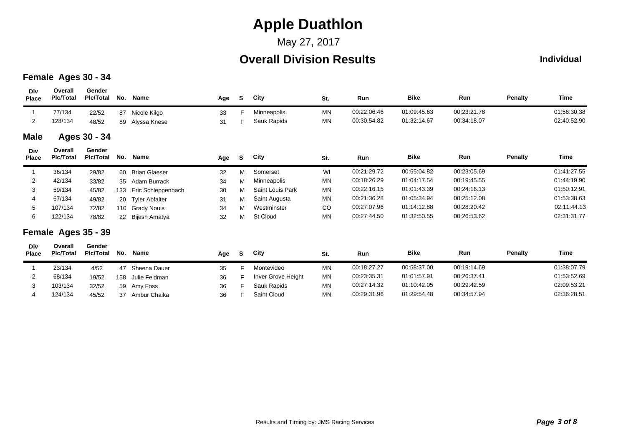### May 27, 2017

## **Overall Division Results**

### **Individual**

#### **Female Ages 30 - 34**

2

3

4

68/134 19/52

32/52

45/52

103/134

124/134

158 Julie Feldman 36 F

37 Ambur Chaika 36 F

| Div<br><b>Place</b> | Overall<br><b>PIc/Total</b> | Gender<br><b>Pic/Total</b> | No. | Name                  | Age | S. | City             | St.       | Run         | <b>Bike</b> | Run         | <b>Penalty</b> | Time        |
|---------------------|-----------------------------|----------------------------|-----|-----------------------|-----|----|------------------|-----------|-------------|-------------|-------------|----------------|-------------|
|                     | 77/134                      | 22/52                      | 87  | Nicole Kilgo          | 33  | Е  | Minneapolis      | <b>MN</b> | 00:22:06.46 | 01:09:45.63 | 00:23:21.78 |                | 01:56:30.38 |
| $\overline{2}$      | 128/134                     | 48/52                      | 89  | Alyssa Knese          | 31  | F  | Sauk Rapids      | <b>MN</b> | 00:30:54.82 | 01:32:14.67 | 00:34:18.07 |                | 02:40:52.90 |
| <b>Male</b>         |                             | Ages 30 - 34               |     |                       |     |    |                  |           |             |             |             |                |             |
| Div<br><b>Place</b> | Overall<br><b>PIc/Total</b> | Gender<br><b>PIc/Total</b> | No. | Name                  | Age | S  | City             | St.       | Run         | <b>Bike</b> | Run         | <b>Penalty</b> | Time        |
|                     | 36/134                      | 29/82                      | 60  | <b>Brian Glaeser</b>  | 32  | М  | Somerset         | WI        | 00:21:29.72 | 00:55:04.82 | 00:23:05.69 |                | 01:41:27.55 |
| 2                   | 42/134                      | 33/82                      | 35  | Adam Burrack          | 34  | м  | Minneapolis      | <b>MN</b> | 00:18:26.29 | 01:04:17.54 | 00:19:45.55 |                | 01:44:19.90 |
| 3                   | 59/134                      | 45/82                      | 133 | Eric Schleppenbach    | 30  | м  | Saint Louis Park | <b>MN</b> | 00:22:16.15 | 01:01:43.39 | 00:24:16.13 |                | 01:50:12.91 |
| 4                   | 67/134                      | 49/82                      | 20  | <b>Tyler Abfalter</b> | 31  | м  | Saint Augusta    | <b>MN</b> | 00:21:36.28 | 01:05:34.94 | 00:25:12.08 |                | 01:53:38.63 |
| 5                   | 107/134                     | 72/82                      |     | 110 Grady Nouis       | 34  | м  | Westminster      | CO        | 00:27:07.96 | 01:14:12.88 | 00:28:20.42 |                | 02:11:44.13 |
| 6                   | 122/134                     | 78/82                      | 22  | Bijesh Amatya         | 32  | М  | St Cloud         | <b>MN</b> | 00:27:44.50 | 01:32:50.55 | 00:26:53.62 |                | 02:31:31.77 |
|                     | Female Ages 35 - 39         |                            |     |                       |     |    |                  |           |             |             |             |                |             |
| Div<br><b>Place</b> | Overall<br><b>PIc/Total</b> | Gender<br><b>Pic/Total</b> | No. | Name                  | Age | S. | City             | St.       | Run         | <b>Bike</b> | Run         | <b>Penalty</b> | Time        |
|                     | 23/134                      | 4/52                       | 47  | Sheena Dauer          | 35  | F  | Montevideo       | <b>MN</b> | 00:18:27.27 | 00:58:37.00 | 00:19:14.69 |                | 01:38:07.79 |

<sup>59</sup> Amy Foss <sup>36</sup> <sup>F</sup> Sauk Rapids MN 00:27:14.32 00:29:42.59 01:10:42.05 02:09:53.21

Inver Grove Height MN 00:23:35.31 00:26:37.41 01:01:57.91 01:53:52.69

Saint Cloud MN 00:29:31.96 00:34:57.94 01:29:54.48 02:36:28.51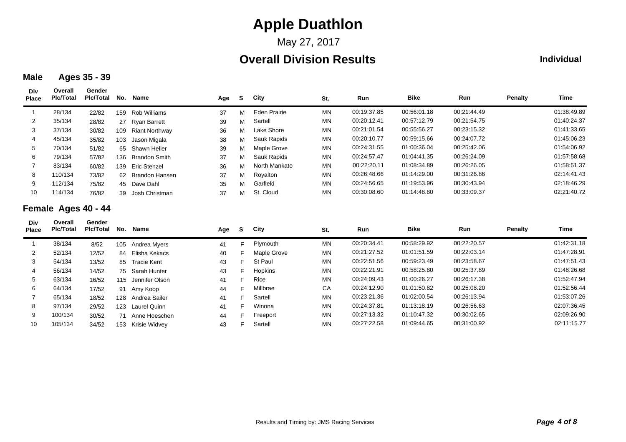May 27, 2017

## **Overall Division Results**

### **Individual**

### **Male Ages 35 - 39**

| Div<br><b>Place</b> | Overall<br><b>PIc/Total</b> | Gender<br><b>Pic/Total</b> | No. | Name                  | Age | S. | City          | St.       | Run         | <b>Bike</b> | <b>Run</b>  | <b>Penalty</b> | Time        |
|---------------------|-----------------------------|----------------------------|-----|-----------------------|-----|----|---------------|-----------|-------------|-------------|-------------|----------------|-------------|
|                     | 28/134                      | 22/82                      | 159 | Rob Williams          | 37  | м  | Eden Prairie  | <b>MN</b> | 00:19:37.85 | 00:56:01.18 | 00:21:44.49 |                | 01:38:49.89 |
| 2                   | 35/134                      | 28/82                      | 27  | Ryan Barrett          | 39  | м  | Sartell       | <b>MN</b> | 00:20:12.41 | 00:57:12.79 | 00:21:54.75 |                | 01:40:24.37 |
| 3                   | 37/134                      | 30/82                      | 109 | <b>Riant Northway</b> | 36  | м  | Lake Shore    | <b>MN</b> | 00:21:01.54 | 00:55:56.27 | 00:23:15.32 |                | 01:41:33.65 |
| 4                   | 45/134                      | 35/82                      | 103 | Jason Migala          | 38  | м  | Sauk Rapids   | <b>MN</b> | 00:20:10.77 | 00:59:15.66 | 00:24:07.72 |                | 01:45:06.23 |
| $5\overline{)}$     | 70/134                      | 51/82                      |     | 65 Shawn Heller       | 39  | м  | Maple Grove   | <b>MN</b> | 00:24:31.55 | 01:00:36.04 | 00:25:42.06 |                | 01:54:06.92 |
| 6                   | 79/134                      | 57/82                      |     | 136 Brandon Smith     | 37  | м  | Sauk Rapids   | <b>MN</b> | 00:24:57.47 | 01:04:41.35 | 00:26:24.09 |                | 01:57:58.68 |
|                     | 83/134                      | 60/82                      | 139 | Eric Stenzel          | 36  | м  | North Mankato | <b>MN</b> | 00:22:20.11 | 01:08:34.89 | 00:26:26.05 |                | 01:58:51.37 |
| 8                   | 110/134                     | 73/82                      |     | 62 Brandon Hansen     | 37  | м  | Royalton      | <b>MN</b> | 00:26:48.66 | 01:14:29.00 | 00:31:26.86 |                | 02:14:41.43 |
| 9                   | 112/134                     | 75/82                      |     | 45 Dave Dahl          | 35  | м  | Garfield      | <b>MN</b> | 00:24:56.65 | 01:19:53.96 | 00:30:43.94 |                | 02:18:46.29 |
| 10                  | 114/134                     | 76/82                      | 39  | Josh Christman        | 37  | м  | St. Cloud     | <b>MN</b> | 00:30:08.60 | 01:14:48.80 | 00:33:09.37 |                | 02:21:40.72 |

### **Female Ages 40 - 44**

| Div<br><b>Place</b> | Overall<br><b>PIc/Total</b> | Gender<br>Pic/Total | No. | Name               | Age | - S | City           | St.       | <b>Run</b>  | <b>Bike</b> | <b>Run</b>  | <b>Penalty</b> | Time        |
|---------------------|-----------------------------|---------------------|-----|--------------------|-----|-----|----------------|-----------|-------------|-------------|-------------|----------------|-------------|
|                     | 38/134                      | 8/52                | 105 | Andrea Myers       | 41  | F.  | Plymouth       | <b>MN</b> | 00:20:34.41 | 00:58:29.92 | 00:22:20.57 |                | 01:42:31.18 |
| 2                   | 52/134                      | 12/52               |     | 84 Elisha Kekacs   | 40  | F.  | Maple Grove    | <b>MN</b> | 00:21:27.52 | 01:01:51.59 | 00:22:03.14 |                | 01:47:28.91 |
| 3                   | 54/134                      | 13/52               |     | 85 Tracie Kent     | 43  | F.  | St Paul        | <b>MN</b> | 00:22:51.56 | 00:59:23.49 | 00:23:58.67 |                | 01:47:51.43 |
| 4                   | 56/134                      | 14/52               |     | 75 Sarah Hunter    | 43  | F.  | <b>Hopkins</b> | <b>MN</b> | 00:22:21.91 | 00:58:25.80 | 00:25:37.89 |                | 01:48:26.68 |
| 5                   | 63/134                      | 16/52               |     | 115 Jennifer Olson | 41  | F.  | Rice           | <b>MN</b> | 00:24:09.43 | 01:00:26.27 | 00:26:17.38 |                | 01:52:47.94 |
| 6                   | 64/134                      | 17/52               |     | 91 Amy Koop        | 44  | F.  | Millbrae       | CA        | 00:24:12.90 | 01:01:50.82 | 00:25:08.20 |                | 01:52:56.44 |
|                     | 65/134                      | 18/52               | 128 | Andrea Sailer      | 41  | F.  | Sartell        | <b>MN</b> | 00:23:21.36 | 01:02:00.54 | 00:26:13.94 |                | 01:53:07.26 |
| 8                   | 97/134                      | 29/52               |     | 123 Laurel Quinn   | 41  | F.  | Winona         | <b>MN</b> | 00:24:37.81 | 01:13:18.19 | 00:26:56.63 |                | 02:07:36.45 |
| 9                   | 100/134                     | 30/52               | 71  | Anne Hoeschen      | 44  | F.  | Freeport       | <b>MN</b> | 00:27:13.32 | 01:10:47.32 | 00:30:02.65 |                | 02:09:26.90 |
| 10                  | 105/134                     | 34/52               |     | 153 Krisie Widvev  | 43  |     | Sartell        | <b>MN</b> | 00:27:22.58 | 01:09:44.65 | 00:31:00.92 |                | 02:11:15.77 |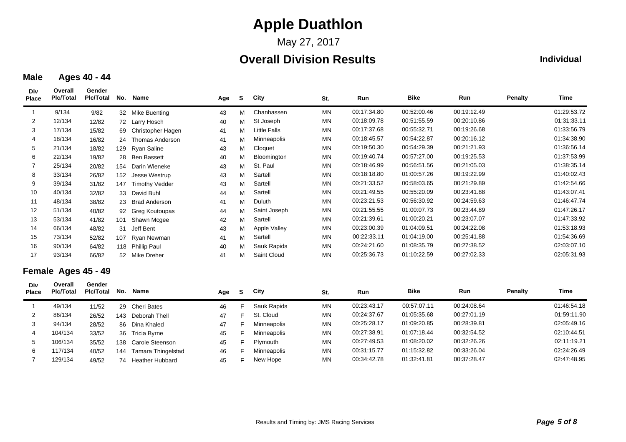May 27, 2017

## **Overall Division Results**

### **Individual**

#### **Male Ages 40 - 44**

**Div**

5

6

7

106/134 35/52

117/134 40/52

129/134 49/52

138 Carole Steenson 45 F

74 Heather Hubbard 45 F

| Div<br><b>Place</b> | Overall<br><b>PIc/Total</b> | Gender<br><b>Pic/Total</b> | No. | Name                     | Age | <b>S</b> | City                | St.       | Run         | <b>Bike</b> | Run         | Penalty        | Time        |
|---------------------|-----------------------------|----------------------------|-----|--------------------------|-----|----------|---------------------|-----------|-------------|-------------|-------------|----------------|-------------|
| -1                  | 9/134                       | 9/82                       |     | 32 Mike Buenting         | 43  | м        | Chanhassen          | <b>MN</b> | 00:17:34.80 | 00:52:00.46 | 00:19:12.49 |                | 01:29:53.72 |
| 2                   | 12/134                      | 12/82                      | 72  | Larry Hosch              | 40  | М        | St Joseph           | MN        | 00:18:09.78 | 00:51:55.59 | 00:20:10.86 |                | 01:31:33.11 |
| 3                   | 17/134                      | 15/82                      | 69  | <b>Christopher Hagen</b> | 41  | м        | <b>Little Falls</b> | <b>MN</b> | 00:17:37.68 | 00:55:32.71 | 00:19:26.68 |                | 01:33:56.79 |
| 4                   | 18/134                      | 16/82                      | 24  | <b>Thomas Anderson</b>   | 41  | М        | Minneapolis         | <b>MN</b> | 00:18:45.57 | 00:54:22.87 | 00:20:16.12 |                | 01:34:38.90 |
| 5                   | 21/134                      | 18/82                      |     | 129 Ryan Saline          | 43  | M        | Cloquet             | MN        | 00:19:50.30 | 00:54:29.39 | 00:21:21.93 |                | 01:36:56.14 |
| 6                   | 22/134                      | 19/82                      | 28  | <b>Ben Bassett</b>       | 40  | М        | Bloomington         | MN        | 00:19:40.74 | 00:57:27.00 | 00:19:25.53 |                | 01:37:53.99 |
|                     | 25/134                      | 20/82                      | 154 | Darin Wieneke            | 43  | м        | St. Paul            | MN        | 00:18:46.99 | 00:56:51.56 | 00:21:05.03 |                | 01:38:35.14 |
| 8                   | 33/134                      | 26/82                      | 152 | Jesse Westrup            | 43  | M        | Sartell             | <b>MN</b> | 00:18:18.80 | 01:00:57.26 | 00:19:22.99 |                | 01:40:02.43 |
| 9                   | 39/134                      | 31/82                      | 147 | <b>Timothy Vedder</b>    | 43  | М        | Sartell             | MN        | 00:21:33.52 | 00:58:03.65 | 00:21:29.89 |                | 01:42:54.66 |
| 10                  | 40/134                      | 32/82                      | 33  | David Buhl               | 44  | М        | Sartell             | MN        | 00:21:49.55 | 00:55:20.09 | 00:23:41.88 |                | 01:43:07.41 |
| 11                  | 48/134                      | 38/82                      | 23  | <b>Brad Anderson</b>     | 41  | М        | Duluth              | MN        | 00:23:21.53 | 00:56:30.92 | 00:24:59.63 |                | 01:46:47.74 |
| 12                  | 51/134                      | 40/82                      | 92  | <b>Greg Koutoupas</b>    | 44  | М        | Saint Joseph        | <b>MN</b> | 00:21:55.55 | 01:00:07.73 | 00:23:44.89 |                | 01:47:26.17 |
| 13                  | 53/134                      | 41/82                      | 101 | Shawn Mcgee              | 42  | М        | Sartell             | <b>MN</b> | 00:21:39.61 | 01:00:20.21 | 00:23:07.07 |                | 01:47:33.92 |
| 14                  | 66/134                      | 48/82                      | 31  | Jeff Bent                | 43  | М        | Apple Valley        | MN        | 00:23:00.39 | 01:04:09.51 | 00:24:22.08 |                | 01:53:18.93 |
| 15                  | 73/134                      | 52/82                      | 107 | Ryan Newman              | 41  | M        | Sartell             | MN        | 00:22:33.11 | 01:04:19.00 | 00:25:41.88 |                | 01:54:36.69 |
| 16                  | 90/134                      | 64/82                      |     | 118 Phillip Paul         | 40  | м        | Sauk Rapids         | MN        | 00:24:21.60 | 01:08:35.79 | 00:27:38.52 |                | 02:03:07.10 |
| 17                  | 93/134                      | 66/82                      |     | 52 Mike Dreher           | 41  | М        | Saint Cloud         | <b>MN</b> | 00:25:36.73 | 01:10:22.59 | 00:27:02.33 |                | 02:05:31.93 |
|                     | Female Ages 45 - 49         |                            |     |                          |     |          |                     |           |             |             |             |                |             |
| Div<br><b>Place</b> | Overall<br><b>Plc/Total</b> | Gender<br><b>Pic/Total</b> | No. | <b>Name</b>              | Age | S        | City                | St.       | Run         | <b>Bike</b> | Run         | <b>Penalty</b> | Time        |
| $\mathbf{1}$        | 49/134                      | 11/52                      | 29  | <b>Cheri Bates</b>       | 46  | F        | Sauk Rapids         | <b>MN</b> | 00:23:43.17 | 00:57:07.11 | 00:24:08.64 |                | 01:46:54.18 |
| 2                   | 86/134                      | 26/52                      |     | 143 Deborah Thell        | 47  | F        | St. Cloud           | MN        | 00:24:37.67 | 01:05:35.68 | 00:27:01.19 |                | 01:59:11.90 |
| 3                   | 94/134                      | 28/52                      | 86  | Dina Khaled              | 47  |          | Minneapolis         | MN        | 00:25:28.17 | 01:09:20.85 | 00:28:39.81 |                | 02:05:49.16 |
| 4                   | 104/134                     | 33/52                      | 36  | <b>Tricia Byrne</b>      | 45  | F        | Minneapolis         | MN        | 00:27:38.91 | 01:07:18.44 | 00:32:54.52 |                | 02:10:44.51 |

144 Tamara Thingelstad a 46 F Minneapolis MN 00:31:15.77 01:15:32.82 00:33:26.04 02:24:26.49

Plymouth MN 00:27:49.53 00:32:26.26 01:08:20.02 02:11:19.21

New Hope MN 00:34:42.78 00:37:28.47 01:32:41.81 02:47:48.95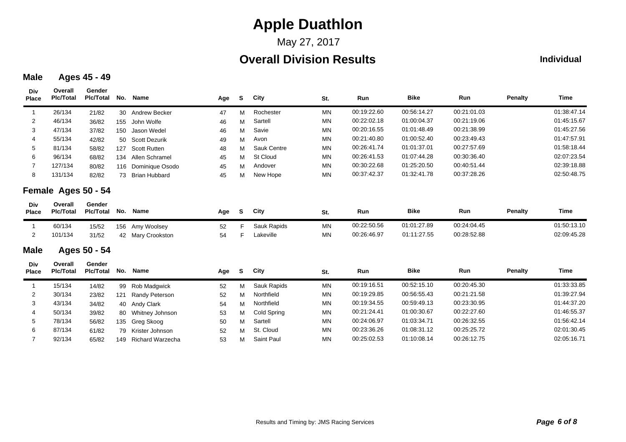May 27, 2017

## **Overall Division Results**

#### **Individual**

#### **Male Ages 45 - 49**

| Div<br><b>Place</b> | Overall<br><b>Plc/Total</b> | Gender<br><b>Plc/Total</b> | No. | Name                    | Age | S  | City        | St.       | Run         | <b>Bike</b> | Run         | <b>Penalty</b> | <b>Time</b> |
|---------------------|-----------------------------|----------------------------|-----|-------------------------|-----|----|-------------|-----------|-------------|-------------|-------------|----------------|-------------|
|                     | 26/134                      | 21/82                      | 30  | Andrew Becker           | 47  | м  | Rochester   | <b>MN</b> | 00:19:22.60 | 00:56:14.27 | 00:21:01.03 |                | 01:38:47.14 |
| 2                   | 46/134                      | 36/82                      | 155 | John Wolfe              | 46  | M  | Sartell     | <b>MN</b> | 00:22:02.18 | 01:00:04.37 | 00:21:19.06 |                | 01:45:15.67 |
| 3                   | 47/134                      | 37/82                      | 150 | Jason Wedel             | 46  | M  | Savie       | <b>MN</b> | 00:20:16.55 | 01:01:48.49 | 00:21:38.99 |                | 01:45:27.56 |
| 4                   | 55/134                      | 42/82                      | 50  | <b>Scott Dezurik</b>    | 49  | М  | Avon        | MN        | 00:21:40.80 | 01:00:52.40 | 00:23:49.43 |                | 01:47:57.91 |
| 5                   | 81/134                      | 58/82                      | 127 | <b>Scott Rutten</b>     | 48  | М  | Sauk Centre | <b>MN</b> | 00:26:41.74 | 01:01:37.01 | 00:27:57.69 |                | 01:58:18.44 |
| 6                   | 96/134                      | 68/82                      | 134 | Allen Schramel          | 45  | м  | St Cloud    | <b>MN</b> | 00:26:41.53 | 01:07:44.28 | 00:30:36.40 |                | 02:07:23.54 |
| 7                   | 127/134                     | 80/82                      |     | 116 Dominique Osodo     | 45  | м  | Andover     | <b>MN</b> | 00:30:22.68 | 01:25:20.50 | 00:40:51.44 |                | 02:39:18.88 |
| 8                   | 131/134                     | 82/82                      | 73  | <b>Brian Hubbard</b>    | 45  | М  | New Hope    | <b>MN</b> | 00:37:42.37 | 01:32:41.78 | 00:37:28.26 |                | 02:50:48.75 |
|                     | Female Ages 50 - 54         |                            |     |                         |     |    |             |           |             |             |             |                |             |
| Div<br>Place        | Overall<br><b>Plc/Total</b> | Gender<br><b>PIc/Total</b> | No. | Name                    | Age | S  | City        | St.       | Run         | <b>Bike</b> | Run         | <b>Penalty</b> | <b>Time</b> |
| $\overline{1}$      | 60/134                      | 15/52                      | 156 | Amy Woolsey             | 52  | F. | Sauk Rapids | MN        | 00:22:50.56 | 01:01:27.89 | 00:24:04.45 |                | 01:50:13.10 |
| 2                   | 101/134                     | 31/52                      | 42  | Mary Crookston          | 54  | F  | Lakeville   | <b>MN</b> | 00:26:46.97 | 01:11:27.55 | 00:28:52.88 |                | 02:09:45.28 |
| <b>Male</b>         |                             | Ages 50 - 54               |     |                         |     |    |             |           |             |             |             |                |             |
| Div<br><b>Place</b> | Overall<br><b>Plc/Total</b> | Gender<br><b>Plc/Total</b> | No. | Name                    | Age | s  | City        | St.       | Run         | <b>Bike</b> | Run         | <b>Penalty</b> | <b>Time</b> |
|                     | 15/134                      | 14/82                      | 99  | Rob Madgwick            | 52  | М  | Sauk Rapids | <b>MN</b> | 00:19:16.51 | 00:52:15.10 | 00:20:45.30 |                | 01:33:33.85 |
| 2                   | 30/134                      | 23/82                      | 121 | Randy Peterson          | 52  | М  | Northfield  | <b>MN</b> | 00:19:29.85 | 00:56:55.43 | 00:21:21.58 |                | 01:39:27.94 |
| 3                   | 43/134                      | 34/82                      | 40  | Andy Clark              | 54  | М  | Northfield  | <b>MN</b> | 00:19:34.55 | 00:59:49.13 | 00:23:30.95 |                | 01:44:37.20 |
|                     | 50/134                      | 39/82                      | 80  | Whitney Johnson         | 53  | М  | Cold Spring | <b>MN</b> | 00:21:24.41 | 01:00:30.67 | 00:22:27.60 |                | 01:46:55.37 |
| 5                   | 78/134                      | 56/82                      | 135 | Greg Skoog              | 50  | М  | Sartell     | <b>MN</b> | 00:24:06.97 | 01:03:34.71 | 00:26:32.55 |                | 01:56:42.14 |
| 6                   | 87/134                      | 61/82                      | 79  | Krister Johnson         | 52  | м  | St. Cloud   | <b>MN</b> | 00:23:36.26 | 01:08:31.12 | 00:25:25.72 |                | 02:01:30.45 |
| 7                   | 92/134                      | 65/82                      | 149 | <b>Richard Warzecha</b> | 53  | М  | Saint Paul  | <b>MN</b> | 00:25:02.53 | 01:10:08.14 | 00:26:12.75 |                | 02:05:16.71 |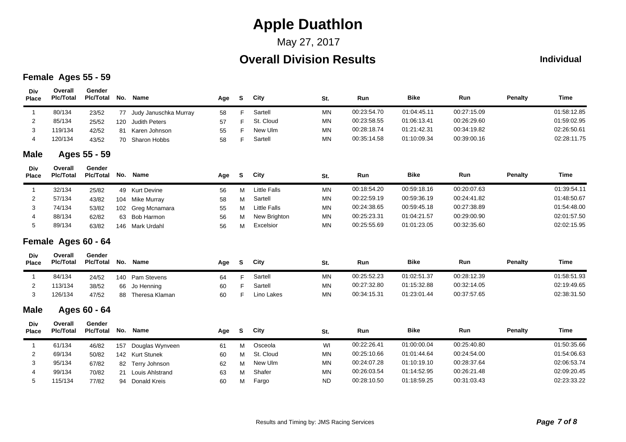## May 27, 2017

## **Overall Division Results**

#### **Individual**

### **Female Ages 55 - 59**

| Div<br><b>Place</b> | Overall<br><b>Plc/Total</b> | Gender<br><b>Plc/Total</b> | No. | Name                   | Age | S        | City                | St.       | Run         | <b>Bike</b> | Run         | <b>Penalty</b> | Time        |
|---------------------|-----------------------------|----------------------------|-----|------------------------|-----|----------|---------------------|-----------|-------------|-------------|-------------|----------------|-------------|
| -1                  | 80/134                      | 23/52                      | 77  | Judy Januschka Murray  | 58  | F.       | Sartell             | <b>MN</b> | 00:23:54.70 | 01:04:45.11 | 00:27:15.09 |                | 01:58:12.85 |
| 2                   | 85/134                      | 25/52                      | 120 | <b>Judith Peters</b>   | 57  | F        | St. Cloud           | MN        | 00:23:58.55 | 01:06:13.41 | 00:26:29.60 |                | 01:59:02.95 |
| 3                   | 119/134                     | 42/52                      | 81  | Karen Johnson          | 55  | F        | New Ulm             | <b>MN</b> | 00:28:18.74 | 01:21:42.31 | 00:34:19.82 |                | 02:26:50.61 |
| 4                   | 120/134                     | 43/52                      | 70  | Sharon Hobbs           | 58  | F        | Sartell             | <b>MN</b> | 00:35:14.58 | 01:10:09.34 | 00:39:00.16 |                | 02:28:11.75 |
| <b>Male</b>         |                             | Ages 55 - 59               |     |                        |     |          |                     |           |             |             |             |                |             |
| Div<br><b>Place</b> | Overall<br><b>Plc/Total</b> | Gender<br><b>Pic/Total</b> | No. | Name                   | Age | S        | City                | St.       | Run         | <b>Bike</b> | Run         | <b>Penalty</b> | <b>Time</b> |
| $\overline{1}$      | 32/134                      | 25/82                      |     | 49 Kurt Devine         | 56  | M        | <b>Little Falls</b> | <b>MN</b> | 00:18:54.20 | 00:59:18.16 | 00:20:07.63 |                | 01:39:54.11 |
| 2                   | 57/134                      | 43/82                      | 104 | Mike Murray            | 58  | M        | Sartell             | <b>MN</b> | 00:22:59.19 | 00:59:36.19 | 00:24:41.82 |                | 01:48:50.67 |
| 3                   | 74/134                      | 53/82                      | 102 | Greg Mcnamara          | 55  | M        | <b>Little Falls</b> | MN        | 00:24:38.65 | 00:59:45.18 | 00:27:38.89 |                | 01:54:48.00 |
|                     | 88/134                      | 62/82                      | 63  | <b>Bob Harmon</b>      | 56  | м        | New Brighton        | <b>MN</b> | 00:25:23.31 | 01:04:21.57 | 00:29:00.90 |                | 02:01:57.50 |
| 5                   | 89/134                      | 63/82                      |     | 146 Mark Urdahl        | 56  | м        | Excelsior           | <b>MN</b> | 00:25:55.69 | 01:01:23.05 | 00:32:35.60 |                | 02:02:15.95 |
|                     | Female Ages 60 - 64         |                            |     |                        |     |          |                     |           |             |             |             |                |             |
| Div<br>Place        | Overall<br><b>PIc/Total</b> | Gender<br><b>Pic/Total</b> | No. | Name                   | Age | <b>S</b> | City                | St.       | Run         | <b>Bike</b> | Run         | <b>Penalty</b> | Time        |
| $\overline{1}$      | 84/134                      | 24/52                      |     | 140 Pam Stevens        | 64  | F.       | Sartell             | <b>MN</b> | 00:25:52.23 | 01:02:51.37 | 00:28:12.39 |                | 01:58:51.93 |
| 2                   | 113/134                     | 38/52                      | 66  | Jo Henning             | 60  | F        | Sartell             | <b>MN</b> | 00:27:32.80 | 01:15:32.88 | 00:32:14.05 |                | 02:19:49.65 |
| 3                   | 126/134                     | 47/52                      | 88  | Theresa Klaman         | 60  | F        | Lino Lakes          | <b>MN</b> | 00:34:15.31 | 01:23:01.44 | 00:37:57.65 |                | 02:38:31.50 |
| <b>Male</b>         |                             | Ages 60 - 64               |     |                        |     |          |                     |           |             |             |             |                |             |
| Div<br><b>Place</b> | Overall<br><b>Plc/Total</b> | Gender<br><b>Plc/Total</b> | No. | Name                   | Age | S        | City                | St.       | Run         | <b>Bike</b> | Run         | <b>Penalty</b> | Time        |
| $\overline{1}$      | 61/134                      | 46/82                      | 157 | Douglas Wynveen        | 61  | м        | Osceola             | WI        | 00:22:26.41 | 01:00:00.04 | 00:25:40.80 |                | 01:50:35.66 |
| 2                   | 69/134                      | 50/82                      |     | 142 Kurt Stunek        | 60  | M        | St. Cloud           | MN        | 00:25:10.66 | 01:01:44.64 | 00:24:54.00 |                | 01:54:06.63 |
| 3                   | 95/134                      | 67/82                      |     | 82 Terry Johnson       | 62  | M        | New Ulm             | <b>MN</b> | 00:24:07.28 | 01:10:19.10 | 00:28:37.64 |                | 02:06:53.74 |
| 4                   | 99/134                      | 70/82                      | 21  | <b>Louis Ahlstrand</b> | 63  | М        | Shafer              | MN        | 00:26:03.54 | 01:14:52.95 | 00:26:21.48 |                | 02:09:20.45 |
| 5                   | 115/134                     | 77/82                      | 94  | Donald Kreis           | 60  | М        | Fargo               | <b>ND</b> | 00:28:10.50 | 01:18:59.25 | 00:31:03.43 |                | 02:23:33.22 |